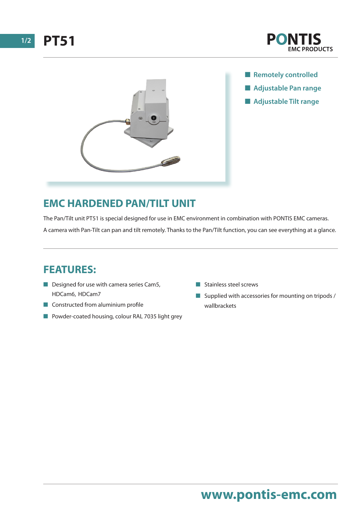





- **n** Remotely controlled
- $\blacksquare$  **Adjustable Pan range**
- **n** Adjustable Tilt range

### **EMC HARDENED PAN/TILT UNIT**

The Pan/Tilt unit PT51 is special designed for use in EMC environment in combination with PONTIS EMC cameras. A camera with Pan-Tilt can pan and tilt remotely. Thanks to the Pan/Tilt function, you can see everything at a glance.

### **FEATURES:**

- $\blacksquare$  Designed for use with camera series Cam5, HDCam6, HDCam7
- $\blacksquare$  Constructed from aluminium profile
- Powder-coated housing, colour RAL 7035 light grey
- $\blacksquare$  Stainless steel screws
- $\blacksquare$  Supplied with accessories for mounting on tripods / wallbrackets

## **www.pontis-emc.com**